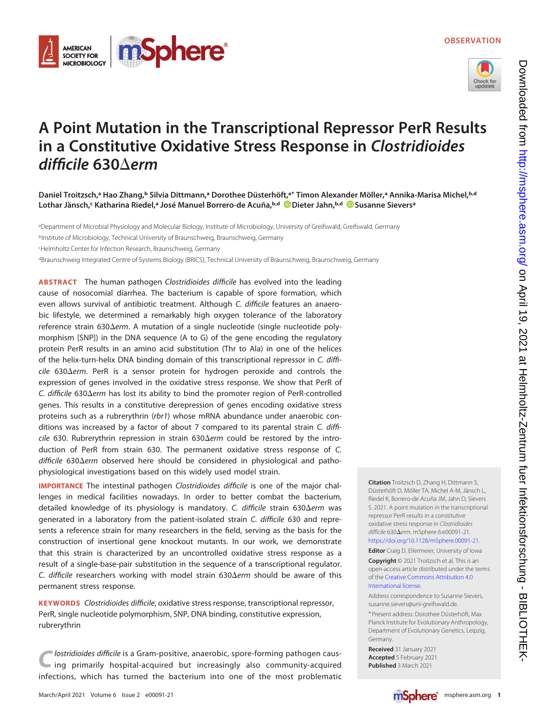



# A Point Mutation in the Transcriptional Repressor PerR Results in a Constitutive Oxidative Stress Response in Clostridioides difficile  $630\Delta$ erm

Daniel Troitzsch,ª Hao Zhang,ʰ Silvia Dittmann,ª Dorothee Düsterhöft,ª\* Timon Alexander Möller,ª Annika-Marisa Michel,ʰd Lothar Jänsch,<sup>c</sup> Katharina Riedel,ª José Manuel Borrero-de Acuña,ʰ<sup>ʌd</sup> (D[Dieter Jahn](https://orcid.org/0000-0002-4064-9205),ʰ<sup>ʌd)</sup> [Susanne Sievers](https://orcid.org/0000-0002-5457-2552)ª

aDepartment of Microbial Physiology and Molecular Biology, Institute of Microbiology, University of Greifswald, Greifswald, Germany bInstitute of Microbiology, Technical University of Braunschweig, Braunschweig, Germany

c Helmholtz Center for Infection Research, Braunschweig, Germany

dBraunschweig Integrated Centre of Systems Biology (BRICS), Technical University of Braunschweig, Braunschweig, Germany

ABSTRACT The human pathogen Clostridioides difficile has evolved into the leading cause of nosocomial diarrhea. The bacterium is capable of spore formation, which even allows survival of antibiotic treatment. Although C. difficile features an anaerobic lifestyle, we determined a remarkably high oxygen tolerance of the laboratory reference strain 630 $\Delta$ erm. A mutation of a single nucleotide (single nucleotide polymorphism [SNP]) in the DNA sequence (A to G) of the gene encoding the regulatory protein PerR results in an amino acid substitution (Thr to Ala) in one of the helices of the helix-turn-helix DNA binding domain of this transcriptional repressor in C. diffi $cile$  630 $\Delta$ erm. PerR is a sensor protein for hydrogen peroxide and controls the expression of genes involved in the oxidative stress response. We show that PerR of C. difficile 630 $\Delta$ erm has lost its ability to bind the promoter region of PerR-controlled genes. This results in a constitutive derepression of genes encoding oxidative stress proteins such as a rubrerythrin (rbr1) whose mRNA abundance under anaerobic conditions was increased by a factor of about 7 compared to its parental strain C. diffi $cile$  630. Rubrerythrin repression in strain 630 $\Delta$ erm could be restored by the introduction of PerR from strain 630. The permanent oxidative stress response of C.  $difficile 630\Delta$ erm observed here should be considered in physiological and pathophysiological investigations based on this widely used model strain.

IMPORTANCE The intestinal pathogen Clostridioides difficile is one of the major challenges in medical facilities nowadays. In order to better combat the bacterium, detailed knowledge of its physiology is mandatory. C. difficile strain 630 $\Delta$ erm was generated in a laboratory from the patient-isolated strain C. difficile 630 and represents a reference strain for many researchers in the field, serving as the basis for the construction of insertional gene knockout mutants. In our work, we demonstrate that this strain is characterized by an uncontrolled oxidative stress response as a result of a single-base-pair substitution in the sequence of a transcriptional regulator. C. difficile researchers working with model strain  $630\Delta e$ rm should be aware of this permanent stress response.

KEYWORDS Clostridioides difficile, oxidative stress response, transcriptional repressor, PerR, single nucleotide polymorphism, SNP, DNA binding, constitutive expression, rubrerythrin

lostridioides difficile is a Gram-positive, anaerobic, spore-forming pathogen causing primarily hospital-acquired but increasingly also community-acquired infections, which has turned the bacterium into one of the most problematic Citation Troitzsch D, Zhang H, Dittmann S, Düsterhöft D, Möller TA, Michel A-M, Jänsch L, Riedel K, Borrero-de Acuña JM, Jahn D, Sievers S. 2021. A point mutation in the transcriptional repressor PerR results in a constitutive oxidative stress response in Clostridioides difficile 630 $\Delta$ erm. mSphere 6:e00091-21. [https://doi.org/10.1128/mSphere.00091-21.](https://doi.org/10.1128/mSphere.00091-21)

### Editor Craig D. Ellermeier, University of Iowa

Copyright © 2021 Troitzsch et al. This is an open-access article distributed under the terms of the [Creative Commons Attribution 4.0](https://creativecommons.org/licenses/by/4.0/) [International license](https://creativecommons.org/licenses/by/4.0/).

Address correspondence to Susanne Sievers, susanne.sievers@uni-greifswald.de.

\* Present address: Dorothee Düsterhöft, Max Planck Institute for Evolutionary Anthropology, Department of Evolutionary Genetics, Leipzig, Germany.

Received 31 January 2021 Accepted 5 February 2021 Published 3 March 2021

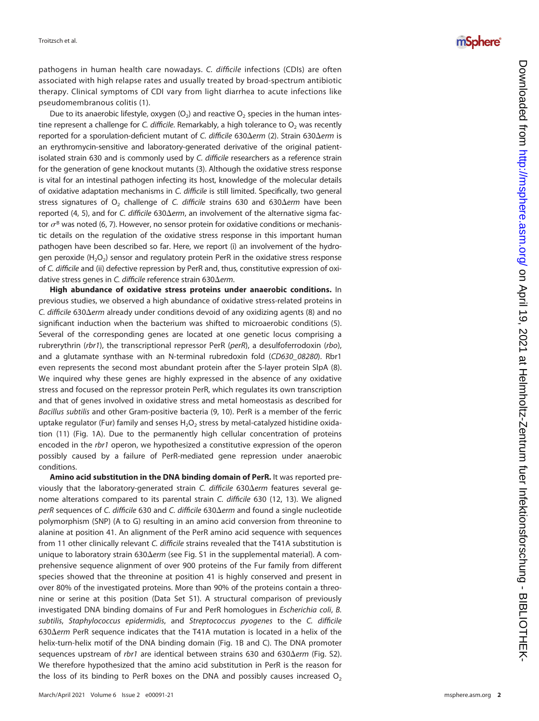pathogens in human health care nowadays. C. difficile infections (CDIs) are often associated with high relapse rates and usually treated by broad-spectrum antibiotic therapy. Clinical symptoms of CDI vary from light diarrhea to acute infections like pseudomembranous colitis ([1\)](#page-6-0).

Due to its anaerobic lifestyle, oxygen (O<sub>2</sub>) and reactive O<sub>2</sub> species in the human intestine represent a challenge for C. difficile. Remarkably, a high tolerance to  $O<sub>2</sub>$  was recently reported for a sporulation-deficient mutant of C. difficile 630 $\Delta$ erm [\(2\)](#page-6-1). Strain 630 $\Delta$ erm is an erythromycin-sensitive and laboratory-generated derivative of the original patientisolated strain 630 and is commonly used by C. difficile researchers as a reference strain for the generation of gene knockout mutants [\(3\)](#page-6-2). Although the oxidative stress response is vital for an intestinal pathogen infecting its host, knowledge of the molecular details of oxidative adaptation mechanisms in C. difficile is still limited. Specifically, two general stress signatures of  $O_2$  challenge of C. difficile strains 630 and 630 $\Delta$ erm have been reported [\(4](#page-6-3), [5\)](#page-6-4), and for C. difficile 630 $\Delta$ erm, an involvement of the alternative sigma factor  $\sigma^B$  was noted ([6](#page-6-5), [7\)](#page-6-6). However, no sensor protein for oxidative conditions or mechanistic details on the regulation of the oxidative stress response in this important human pathogen have been described so far. Here, we report (i) an involvement of the hydrogen peroxide  $(H<sub>2</sub>O<sub>2</sub>)$  sensor and regulatory protein PerR in the oxidative stress response of C. difficile and (ii) defective repression by PerR and, thus, constitutive expression of oxidative stress genes in C. difficile reference strain 630 $\Delta$ erm.

High abundance of oxidative stress proteins under anaerobic conditions. In previous studies, we observed a high abundance of oxidative stress-related proteins in C. difficile 630 $\Delta$ erm already under conditions devoid of any oxidizing agents ([8](#page-6-7)) and no signi ficant induction when the bacterium was shifted to microaerobic conditions ([5\)](#page-6-4). Several of the corresponding genes are located at one genetic locus comprising a rubrerythrin (rbr1), the transcriptional repressor PerR (perR), a desulfoferrodoxin (rbo), and a glutamate synthase with an N-terminal rubredoxin fold (CD630\_08280). Rbr1 even represents the second most abundant protein after the S-layer protein SlpA ([8\)](#page-6-7). We inquired why these genes are highly expressed in the absence of any oxidative stress and focused on the repressor protein PerR, which regulates its own transcription and that of genes involved in oxidative stress and metal homeostasis as described for Bacillus subtilis and other Gram-positive bacteria [\(9,](#page-6-8) [10\)](#page-6-9). PerR is a member of the ferric uptake regulator (Fur) family and senses  ${\sf H}_2{\sf O}_2$  stress by metal-catalyzed histidine oxidation ([11\)](#page-6-10) [\(Fig. 1A\)](#page-2-0). Due to the permanently high cellular concentration of proteins encoded in the rbr1 operon, we hypothesized a constitutive expression of the operon possibly caused by a failure of PerR-mediated gene repression under anaerobic conditions.

Amino acid substitution in the DNA binding domain of PerR. It was reported previously that the laboratory-generated strain C. difficile  $630\Delta$ erm features several genome alterations compared to its parental strain C. difficile 630 [\(12,](#page-6-11) [13](#page-6-12)). We aligned perR sequences of C. difficile 630 and C. difficile 630 $\Delta$ erm and found a single nucleotide polymorphism (SNP) (A to G) resulting in an amino acid conversion from threonine to alanine at position 41. An alignment of the PerR amino acid sequence with sequences from 11 other clinically relevant C. difficile strains revealed that the T41A substitution is unique to laboratory strain 630 $\Delta$ erm (see Fig. S1 in the supplemental material). A comprehensive sequence alignment of over 900 proteins of the Fur family from different species showed that the threonine at position 41 is highly conserved and present in over 80% of the investigated proteins. More than 90% of the proteins contain a threonine or serine at this position (Data Set S1). A structural comparison of previously investigated DNA binding domains of Fur and PerR homologues in *Escherichia coli*, B. subtilis , Staphylococcus epidermidis, and Streptococcus pyogenes to the C. difficile  $630\Delta$ erm PerR sequence indicates that the T41A mutation is located in a helix of the helix-turn-helix motif of the DNA binding domain ([Fig. 1B](#page-2-0) and [C](#page-2-0)). The DNA promoter sequences upstream of rbr1 are identical between strains 630 and 630 $\Delta$ erm (Fig. S2). We therefore hypothesized that the amino acid substitution in PerR is the reason for the loss of its binding to PerR boxes on the DNA and possibly causes increased  $\mathrm{O}_2$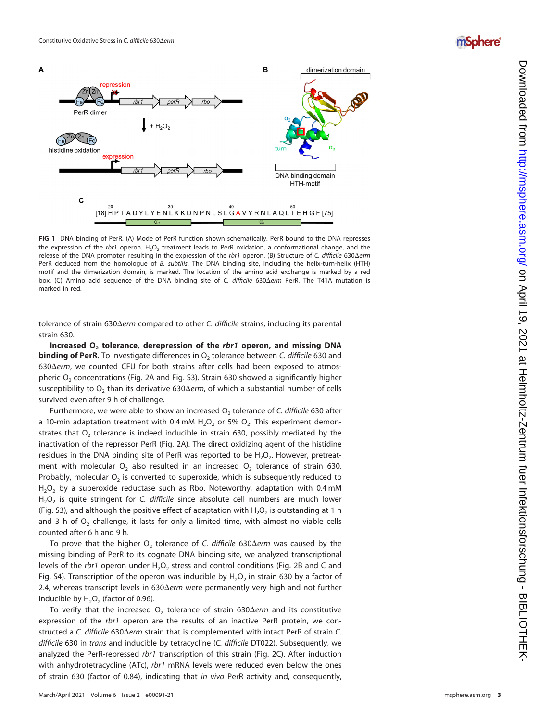## *mSphere*



<span id="page-2-0"></span>FIG 1 DNA binding of PerR. (A) Mode of PerR function shown schematically. PerR bound to the DNA represses the expression of the rbr1 operon.  $H_2O_2$  treatment leads to PerR oxidation, a conformational change, and the release of the DNA promoter, resulting in the expression of the rbr1 operon. (B) Structure of C. difficile 630 $\Delta$ erm PerR deduced from the homologue of B. subtilis. The DNA binding site, including the helix-turn-helix (HTH) motif and the dimerization domain, is marked. The location of the amino acid exchange is marked by a red box. (C) Amino acid sequence of the DNA binding site of C. difficile 630 $\Delta$ erm PerR. The T41A mutation is marked in red.

tolerance of strain 630 $\Delta$ erm compared to other C. difficile strains, including its parental strain 630.

Increased  $O_2$  tolerance, derepression of the rbr1 operon, and missing DNA **binding of PerR.** To investigate differences in O<sub>2</sub> tolerance between C. *difficile* 630 and 630 $\Delta$ erm, we counted CFU for both strains after cells had been exposed to atmospheric  $O<sub>2</sub>$  concentrations [\(Fig. 2A](#page-3-0) and Fig. S3). Strain 630 showed a significantly higher susceptibility to  $O_2$  than its derivative 630 $\Delta$ erm, of which a substantial number of cells survived even after 9 h of challenge.

Furthermore, we were able to show an increased  $O_2$  tolerance of C. difficile 630 after a 10-min adaptation treatment with 0.4 mM  $\rm H_2O_2$  or 5%  $\rm O_2.$  This experiment demonstrates that  $O<sub>2</sub>$  tolerance is indeed inducible in strain 630, possibly mediated by the inactivation of the repressor PerR [\(Fig. 2A\)](#page-3-0). The direct oxidizing agent of the histidine residues in the DNA binding site of PerR was reported to be  $H_2O_2$ . However, pretreatment with molecular  $O<sub>2</sub>$  also resulted in an increased  $O<sub>2</sub>$  tolerance of strain 630. Probably, molecular  ${\mathsf O}_2$  is converted to superoxide, which is subsequently reduced to  $\mathsf{H}_2\mathsf{O}_2$  by a superoxide reductase such as Rbo. Noteworthy, adaptation with 0.4 mM  $H_2O_2$  is quite stringent for C. difficile since absolute cell numbers are much lower (Fig. S3), and although the positive effect of adaptation with  $\rm H_2O_2$  is outstanding at 1 h and 3 h of  $\mathrm{O}_2$  challenge, it lasts for only a limited time, with almost no viable cells counted after 6 h and 9 h.

To prove that the higher  $O_2$  tolerance of C. difficile 630 $\Delta$ erm was caused by the missing binding of PerR to its cognate DNA binding site, we analyzed transcriptional levels of the rbr1 operon under  $\text{H}_{2}\text{O}_{2}$  stress and control conditions ([Fig. 2B](#page-3-0) and [C](#page-3-0) and Fig. S4). Transcription of the operon was inducible by  $\mathsf{H}_2\mathsf{O}_2$  in strain 630 by a factor of 2.4, whereas transcript levels in 630 $\Delta$ erm were permanently very high and not further inducible by  $H_2O_2$  (factor of 0.96).

To verify that the increased  $O_2$  tolerance of strain 630 $\Delta$ erm and its constitutive expression of the rbr1 operon are the results of an inactive PerR protein, we constructed a C. difficile 630 $\Delta$ erm strain that is complemented with intact PerR of strain C. difficile 630 in trans and inducible by tetracycline (C. difficile DT022). Subsequently, we analyzed the PerR-repressed rbr1 transcription of this strain ([Fig. 2C](#page-3-0)). After induction with anhydrotetracycline (ATc), rbr1 mRNA levels were reduced even below the ones of strain 630 (factor of 0.84), indicating that in vivo PerR activity and, consequently,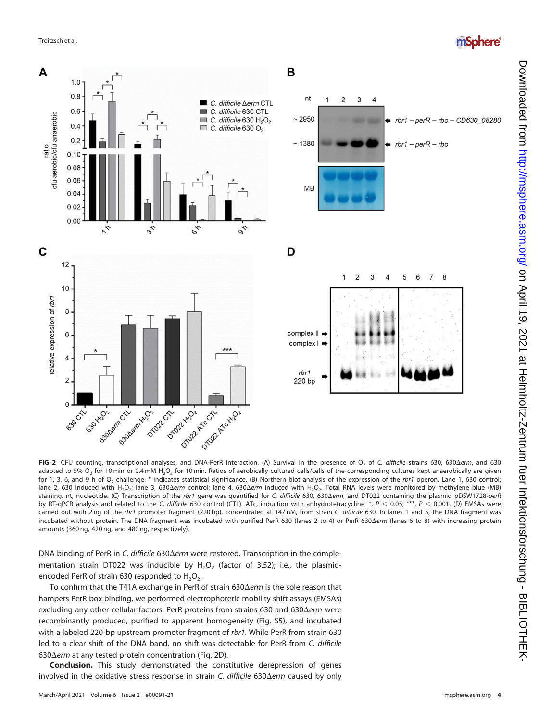



<span id="page-3-0"></span>FIG 2 CFU counting, transcriptional analyses, and DNA-PerR interaction. (A) Survival in the presence of O<sub>2</sub> of C. difficile strains 630, 630 $\Delta$ erm, and 630 adapted to 5% O<sub>2</sub> for 10 min or 0.4 mM H<sub>2</sub>O<sub>2</sub> for 10 min. Ratios of aerobically cultured cells/cells of the corresponding cultures kept anaerobically are given for 1, 3, 6, and 9 h of O<sub>2</sub> challenge. \* indicates statistical significance. (B) Northern blot analysis of the expression of the rbr1 operon. Lane 1, 630 control; lane 2, 630 induced with H<sub>2</sub>O<sub>2</sub>; lane 3, 630 $\Delta$ erm control; lane 4, 630 $\Delta$ erm induced with H<sub>2</sub>O<sub>2</sub>. Total RNA levels were monitored by methylene blue (MB) staining. nt, nucleotide. (C) Transcription of the rbr1 gene was quantified for C. difficile 630, 630 $\Delta$ erm, and DT022 containing the plasmid pDSW1728-perR by RT-qPCR analysis and related to the C. difficile 630 control (CTL). ATc, induction with anhydrotetracycline. \*,  $P < 0.05$ ; \*\*\*,  $P < 0.001$ . (D) EMSAs were carried out with 2 ng of the rbr1 promoter fragment (220 bp), concentrated at 147 nM, from strain C. difficile 630. In lanes 1 and 5, the DNA fragment was incubated without protein. The DNA fragment was incubated with purified PerR 630 (lanes 2 to 4) or PerR 630 $\Delta$ erm (lanes 6 to 8) with increasing protein amounts (360 ng, 420 ng, and 480 ng, respectively).

DNA binding of PerR in C. difficile 630 $\Delta$ erm were restored. Transcription in the complementation strain DT022 was inducible by  $H_2O_2$  (factor of 3.52); i.e., the plasmidencoded PerR of strain 630 responded to  $H_2O_2$ .

To confirm that the T41A exchange in PerR of strain  $630\Delta$ erm is the sole reason that hampers PerR box binding, we performed electrophoretic mobility shift assays (EMSAs) excluding any other cellular factors. PerR proteins from strains 630 and 630 $\Delta$ erm were recombinantly produced, purified to apparent homogeneity (Fig. S5), and incubated with a labeled 220-bp upstream promoter fragment of rbr1. While PerR from strain 630 led to a clear shift of the DNA band, no shift was detectable for PerR from C. difficile 630 $\Delta$ erm at any tested protein concentration [\(Fig. 2D](#page-3-0)).

Conclusion. This study demonstrated the constitutive derepression of genes involved in the oxidative stress response in strain C. difficile  $630\Delta$ erm caused by only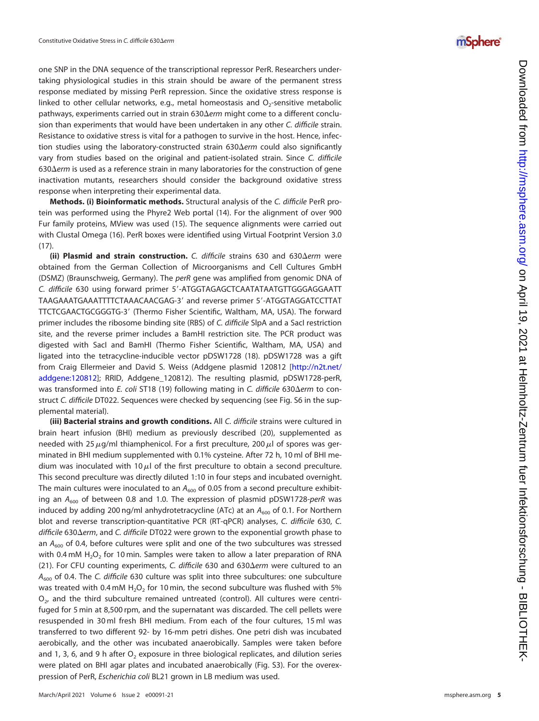one SNP in the DNA sequence of the transcriptional repressor PerR. Researchers undertaking physiological studies in this strain should be aware of the permanent stress response mediated by missing PerR repression. Since the oxidative stress response is linked to other cellular networks, e.g., metal homeostasis and  $\mathrm{O}_2$ -sensitive metabolic pathways, experiments carried out in strain 630 $\Delta$ erm might come to a different conclusion than experiments that would have been undertaken in any other C. difficile strain. Resistance to oxidative stress is vital for a pathogen to survive in the host. Hence, infection studies using the laboratory-constructed strain  $630\Delta e$ rm could also significantly vary from studies based on the original and patient-isolated strain. Since C. difficile  $630\Delta$ erm is used as a reference strain in many laboratories for the construction of gene inactivation mutants, researchers should consider the background oxidative stress response when interpreting their experimental data.

Methods. (i) Bioinformatic methods. Structural analysis of the C. difficile PerR protein was performed using the Phyre2 Web portal [\(14\)](#page-6-13). For the alignment of over 900 Fur family proteins, MView was used [\(15\)](#page-6-14). The sequence alignments were carried out with Clustal Omega [\(16\)](#page-6-15). PerR boxes were identi fied using Virtual Footprint Version 3.0 ([17\)](#page-6-16).

(ii) Plasmid and strain construction. C. difficile strains 630 and 630 $\Delta$ erm were obtained from the German Collection of Microorganisms and Cell Cultures GmbH (DSMZ) (Braunschweig, Germany). The perR gene was amplified from genomic DNA of C. difficile 630 using forward primer 5'-ATGGTAGAGCTCAATATAATGTTGGGAGGAATT TAAGAAATGAAATTTTCTAAACAACGAG-3 9 and reverse primer 5 9-ATGGTAGGATCCTTAT TTCTCGAACTGCGGGTG-3 9 (Thermo Fisher Scienti fic, Waltham, MA, USA). The forward primer includes the ribosome binding site (RBS) of C. difficile SlpA and a SacI restriction site, and the reverse primer includes a BamHI restriction site. The PCR product was digested with SacI and BamHI (Thermo Fisher Scienti fic, Waltham, MA, USA) and ligated into the tetracycline-inducible vector pDSW1728 [\(18\)](#page-6-17). pDSW1728 was a gift from Craig Ellermeier and David S. Weiss (Addgene plasmid 120812 [[http://n2t.net/](http://n2t.net/addgene:120812) [addgene:120812](http://n2t.net/addgene:120812)]; RRID, Addgene\_120812). The resulting plasmid, pDSW1728-perR, was transformed into E. coli ST18 ([19](#page-6-18)) following mating in C. difficile 630 $\Delta$ erm to construct C. difficile DT022. Sequences were checked by sequencing (see Fig. S6 in the supplemental material).

(iii) Bacterial strains and growth conditions. All C. difficile strains were cultured in brain heart infusion (BHI) medium as previously described [\(20](#page-6-19)), supplemented as needed with 25  $\mu$ g/ml thiamphenicol. For a first preculture, 200  $\mu$ l of spores was germinated in BHI medium supplemented with 0.1% cysteine. After 72 h, 10 ml of BHI medium was inoculated with 10 $\mu$ l of the first preculture to obtain a second preculture. This second preculture was directly diluted 1:10 in four steps and incubated overnight. The main cultures were inoculated to an  $A_{600}$  of 0.05 from a second preculture exhibiting an  $A_{600}$  of between 0.8 and 1.0. The expression of plasmid pDSW1728-perR was induced by adding 200 ng/ml anhydrotetracycline (ATc) at an  $A_{600}$  of 0.1. For Northern blot and reverse transcription-quantitative PCR (RT-qPCR) analyses, C. difficile 630, C. difficile 630∆erm, and C. difficile DT022 were grown to the exponential growth phase to an  $A_{600}$  of 0.4, before cultures were split and one of the two subcultures was stressed with 0.4 mM  $H_2O_2$  for 10 min. Samples were taken to allow a later preparation of RNA ([21\)](#page-6-20). For CFU counting experiments, C. difficile 630 and 630 $\Delta$ erm were cultured to an  $A_{600}$  of 0.4. The C. difficile 630 culture was split into three subcultures: one subculture was treated with 0.4 mM  $H_2O_2$  for 10 min, the second subculture was flushed with 5%  $O_{2}$ , and the third subculture remained untreated (control). All cultures were centrifuged for 5 min at 8,500 rpm, and the supernatant was discarded. The cell pellets were resuspended in 30 ml fresh BHI medium. From each of the four cultures, 15 ml was transferred to two different 92- by 16-mm petri dishes. One petri dish was incubated aerobically, and the other was incubated anaerobically. Samples were taken before and 1, 3, 6, and 9 h after  $\mathrm{O}_2$  exposure in three biological replicates, and dilution series were plated on BHI agar plates and incubated anaerobically (Fig. S3). For the overexpression of PerR, Escherichia coli BL21 grown in LB medium was used.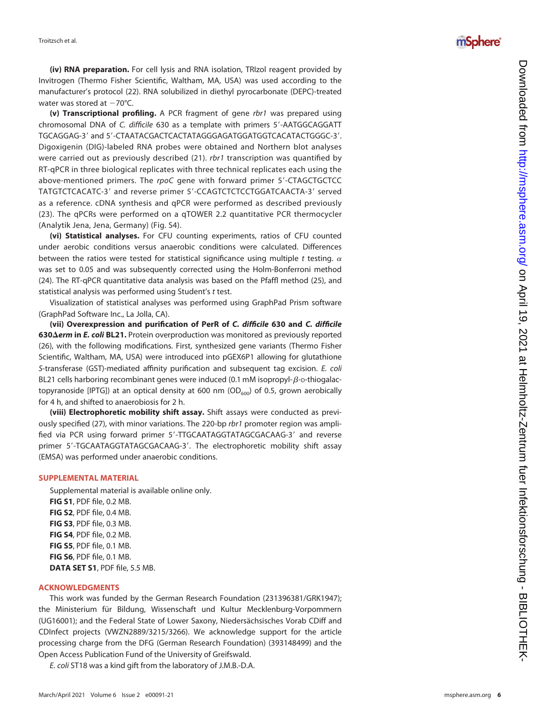

(iv) RNA preparation. For cell lysis and RNA isolation, TRIzol reagent provided by Invitrogen (Thermo Fisher Scienti fic, Waltham, MA, USA) was used according to the manufacturer 's protocol ([22](#page-6-21)). RNA solubilized in diethyl pyrocarbonate (DEPC)-treated water was stored at -70°C.

(v) Transcriptional profiling. A PCR fragment of gene rbr1 was prepared using chromosomal DNA of C. difficile 630 as a template with primers 5'-AATGGCAGGATT .'5-TGCAGGAG-3' and 5'-CTAATACGACTCACTATAGGGAGATGGATGGTCACATACTGGGC Digoxigenin (DIG)-labeled RNA probes were obtained and Northern blot analyses were carried out as previously described [\(21](#page-6-20)). rbr1 transcription was quantified by RT-qPCR in three biological replicates with three technical replicates each using the above-mentioned primers. The rpoC gene with forward primer 5'-CTAGCTGCTCC TATGTCTCACATC-3' and reverse primer 5'-CCAGTCTCTCCTGGATCAACTA-3' served as a reference. cDNA synthesis and qPCR were performed as described previously ([23](#page-6-22)). The qPCRs were performed on a qTOWER 2.2 quantitative PCR thermocycler (Analytik Jena, Jena, Germany) (Fig. S4).

(vi) Statistical analyses. For CFU counting experiments, ratios of CFU counted under aerobic conditions versus anaerobic conditions were calculated. Differences between the ratios were tested for statistical significance using multiple  $t$  testing.  $\alpha$ was set to 0.05 and was subsequently corrected using the Holm-Bonferroni method ([24\)](#page-6-23). The RT-qPCR quantitative data analysis was based on the Pfaffl method [\(25](#page-6-24)), and statistical analysis was performed using Student's t test.

Visualization of statistical analyses was performed using GraphPad Prism software (GraphPad Software Inc., La Jolla, CA).

(vii) Overexpression and purification of PerR of C. difficile 630 and C. difficile 630 $\Delta$ erm in E. coli BL21. Protein overproduction was monitored as previously reported ([26\)](#page-6-25), with the following modi fications. First, synthesized gene variants (Thermo Fisher Scienti fic, Waltham, MA, USA) were introduced into pGEX6P1 allowing for glutathione S-transferase (GST)-mediated affinity purification and subsequent tag excision. E. coli BL21 cells harboring recombinant genes were induced (0.1 mM isopropyl- $\beta$ -D-thiogalactopyranoside [IPTG]) at an optical density at 600 nm ( $OD<sub>600</sub>$ ) of 0.5, grown aerobically for 4 h, and shifted to anaerobiosis for 2 h.

(viii) Electrophoretic mobility shift assay. Shift assays were conducted as previ-ously specified ([27\)](#page-6-26), with minor variations. The 220-bp rbr1 promoter region was amplified via PCR using forward primer 5'-TTGCAATAGGTATAGCGACAAG-3' and reverse primer 5'-TGCAATAGGTATAGCGACAAG-3'. The electrophoretic mobility shift assay (EMSA) was performed under anaerobic conditions.

### SUPPLEMENTAL MATERIAL

Supplemental material is available online only. FIG S1, PDF file, 0.2 MB. FIG S2, PDF file, 0.4 MB. FIG S3, PDF file, 0.3 MB. **FIG S4**, PDF file, 0.2 MB. FIG S5, PDF file, 0.1 MB. FIG S6, PDF file, 0.1 MB. DATA SET S1, PDF file, 5.5 MB.

### ACKNOWLEDGMENTS

This work was funded by the German Research Foundation (231396381/GRK1947); the Ministerium für Bildung, Wissenschaft und Kultur Mecklenburg-Vorpommern (UG16001); and the Federal State of Lower Saxony, Niedersächsisches Vorab CDiff and CDInfect projects (VWZN2889/3215/3266). We acknowledge support for the article processing charge from the DFG (German Research Foundation) (393148499) and the Open Access Publication Fund of the University of Greifswald.

E. coli ST18 was a kind gift from the laboratory of J.M.B.-D.A.